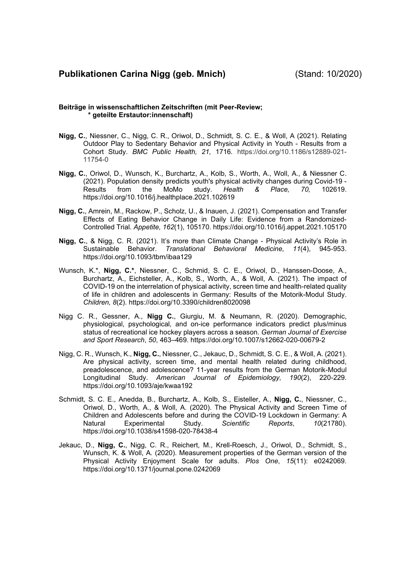# **Publikationen Carina Nigg (geb. Mnich)** (Stand: 10/2020)

### **Beiträge in wissenschaftlichen Zeitschriften (mit Peer-Review; \* geteilte Erstautor:innenschaft)**

- **Nigg, C.**, Niessner, C., Nigg, C. R., Oriwol, D., Schmidt, S. C. E., & Woll, A (2021). Relating Outdoor Play to Sedentary Behavior and Physical Activity in Youth - Results from a Cohort Study. *BMC Public Health, 21,* 1716*.* https://doi.org/10.1186/s12889-021- 11754-0
- **Nigg, C.**, Oriwol, D., Wunsch, K., Burchartz, A., Kolb, S., Worth, A., Woll, A., & Niessner C. (2021). Population density predicts youth's physical activity changes during Covid-19 - Results from the MoMo study. *Health & Place, 70,* 102619. https://doi.org/10.1016/j.healthplace.2021.102619
- **Nigg, C.**, Amrein, M., Rackow, P., Scholz, U., & Inauen, J. (2021). Compensation and Transfer Effects of Eating Behavior Change in Daily Life: Evidence from a Randomized-Controlled Trial. *Appetite, 162*(1), 105170. https://doi.org/10.1016/j.appet.2021.105170
- **Nigg, C.**, & Nigg, C. R. (2021). It's more than Climate Change Physical Activity's Role in Sustainable Behavior. *Translational Behavioral Medicine, 11*(4), 945-953. https://doi.org/10.1093/tbm/ibaa129
- Wunsch, K.\*, **Nigg, C.\***, Niessner, C., Schmid, S. C. E., Oriwol, D., Hanssen-Doose, A., Burchartz, A., Eichsteller, A., Kolb, S., Worth, A., & Woll, A. (2021). The impact of COVID-19 on the interrelation of physical activity, screen time and health-related quality of life in children and adolescents in Germany: Results of the Motorik-Modul Study. *Children, 8*(2). https://doi.org/10.3390/children8020098
- Nigg C. R., Gessner, A., **Nigg C.**, Giurgiu, M. & Neumann, R. (2020). Demographic, physiological, psychological, and on-ice performance indicators predict plus/minus status of recreational ice hockey players across a season. *German Journal of Exercise and Sport Research*, *50*, 463–469. https://doi.org/10.1007/s12662-020-00679-2
- Nigg, C. R., Wunsch, K., **Nigg, C.**, Niessner, C., Jekauc, D., Schmidt, S. C. E., & Woll, A. (2021). Are physical activity, screen time, and mental health related during childhood, preadolescence, and adolescence? 11-year results from the German Motorik-Modul Longitudinal Study. *American Journal of Epidemiology, 190*(2), 220-229*.* https://doi.org/10.1093/aje/kwaa192
- Schmidt, S. C. E., Anedda, B., Burchartz, A., Kolb, S., Eisteller, A., **Nigg, C.**, Niessner, C., Oriwol, D., Worth, A., & Woll, A. (2020). The Physical Activity and Screen Time of Children and Adolescents before and during the COVID-19 Lockdown in Germany: A<br>Natural Experimental Study. Scientific Reports, 10(21780). Natural Experimental Study. *Scientific Reports*, *10*(21780). https://doi.org/10.1038/s41598-020-78438-4
- Jekauc, D., **Nigg, C.**, Nigg, C. R., Reichert, M., Krell-Roesch, J., Oriwol, D., Schmidt, S., Wunsch, K. & Woll, A. (2020). Measurement properties of the German version of the Physical Activity Enjoyment Scale for adults. *Plos One*, *15*(11): e0242069. https://doi.org/10.1371/journal.pone.0242069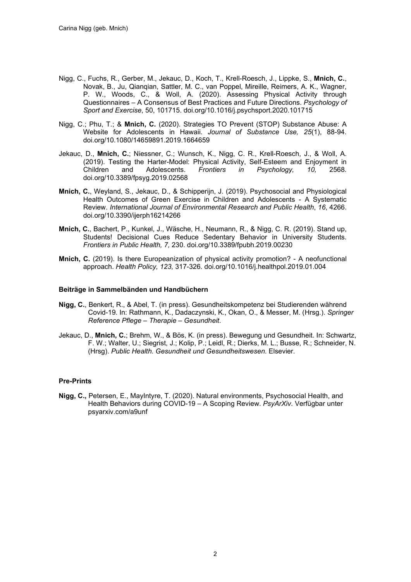- Nigg, C., Fuchs, R., Gerber, M., Jekauc, D., Koch, T., Krell-Roesch, J., Lippke, S., **Mnich, C.**, Novak, B., Ju, Qianqian, Sattler, M. C., van Poppel, Mireille, Reimers, A. K., Wagner, P. W., Woods, C., & Woll, A. (2020). Assessing Physical Activity through Questionnaires – A Consensus of Best Practices and Future Directions. *Psychology of Sport and Exercise*, 50, 101715. doi.org/10.1016/j.psychsport.2020.101715
- Nigg, C.; Phu, T.; & **Mnich, C.** (2020). Strategies TO Prevent (STOP) Substance Abuse: A Website for Adolescents in Hawaii. *Journal of Substance Use, 25*(1), 88-94*.*  doi.org/10.1080/14659891.2019.1664659
- Jekauc, D., **Mnich, C.**; Niessner, C.; Wunsch, K., Nigg, C. R., Krell-Roesch, J., & Woll, A. (2019). Testing the Harter-Model: Physical Activity, Self-Esteem and Enjoyment in<br>Children and Adolescents. Frontiers in Psychology, 10, 2568.  $A$ dolescents. doi.org/10.3389/fpsyg.2019.02568
- **Mnich, C.**, Weyland, S., Jekauc, D., & Schipperijn, J. (2019). Psychosocial and Physiological Health Outcomes of Green Exercise in Children and Adolescents - A Systematic Review. *International Journal of Environmental Research and Public Health*, *16*, 4266. doi.org/10.3390/ijerph16214266
- **Mnich, C.**, Bachert, P., Kunkel, J., Wäsche, H., Neumann, R., & Nigg, C. R. (2019). Stand up, Students! Decisional Cues Reduce Sedentary Behavior in University Students. *Frontiers in Public Health, 7,* 230. doi.org/10.3389/fpubh.2019.00230
- **Mnich, C.** (2019). Is there Europeanization of physical activity promotion? A neofunctional approach. *Health Policy, 123,* 317-326*.* doi.org/10.1016/j.healthpol.2019.01.004

### **Beiträge in Sammelbänden und Handbüchern**

- **Nigg, C.**, Benkert, R., & Abel, T. (in press). Gesundheitskompetenz bei Studierenden während Covid-19*.* In: Rathmann, K., Dadaczynski, K., Okan, O., & Messer, M. (Hrsg.). *Springer Reference Pflege – Therapie – Gesundheit*.
- Jekauc, D., **Mnich, C.**; Brehm, W., & Bös, K. (in press). Bewegung und Gesundheit. In: Schwartz, F. W.; Walter, U.; Siegrist, J.; Kolip, P.; Leidl, R.; Dierks, M. L.; Busse, R.; Schneider, N. (Hrsg). *Public Health. Gesundheit und Gesundheitswesen*. Elsevier.

### **Pre-Prints**

**Nigg, C.,** Petersen, E., MayIntyre, T. (2020). Natural environments, Psychosocial Health, and Health Behaviors during COVID-19 – A Scoping Review. *PsyArXiv*. Verfügbar unter psyarxiv.com/a9unf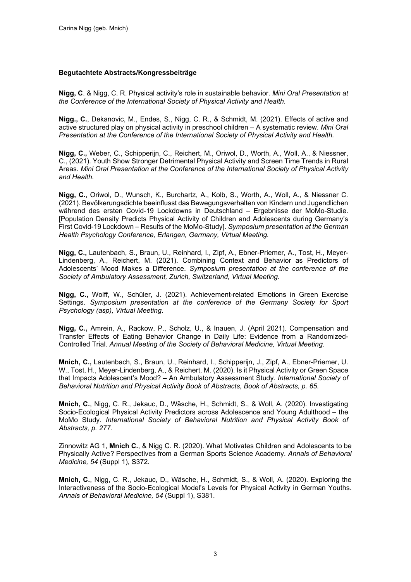## **Begutachtete Abstracts/Kongressbeiträge**

**Nigg, C**. & Nigg, C. R. Physical activity's role in sustainable behavior. *Mini Oral Presentation at the Conference of the International Society of Physical Activity and Health.*

**Nigg., C.**, Dekanovic, M., Endes, S., Nigg, C. R., & Schmidt, M. (2021). Effects of active and active structured play on physical activity in preschool children – A systematic review. *Mini Oral Presentation at the Conference of the International Society of Physical Activity and Health.*

**Nigg, C.,** Weber, C., Schipperijn, C., Reichert, M., Oriwol, D., Worth, A., Woll, A., & Niessner, C., (2021). Youth Show Stronger Detrimental Physical Activity and Screen Time Trends in Rural Areas. *Mini Oral Presentation at the Conference of the International Society of Physical Activity and Health.*

**Nigg, C.**, Oriwol, D., Wunsch, K., Burchartz, A., Kolb, S., Worth, A., Woll, A., & Niessner C. (2021). Bevölkerungsdichte beeinflusst das Bewegungsverhalten von Kindern und Jugendlichen während des ersten Covid-19 Lockdowns in Deutschland – Ergebnisse der MoMo-Studie. [Population Density Predicts Physical Activity of Children and Adolescents during Germany's First Covid-19 Lockdown – Results of the MoMo-Study]. *Symposium presentation at the German Health Psychology Conference, Erlangen, Germany, Virtual Meeting.*

**Nigg, C.,** Lautenbach, S., Braun, U., Reinhard, I., Zipf, A., Ebner-Priemer, A., Tost, H., Meyer-Lindenberg, A., Reichert, M. (2021). Combining Context and Behavior as Predictors of Adolescents' Mood Makes a Difference. *Symposium presentation at the conference of the Society of Ambulatory Assessment, Zurich, Switzerland, Virtual Meeting*.

**Nigg, C.,** Wolff, W., Schüler, J. (2021). Achievement-related Emotions in Green Exercise Settings. *Symposium presentation at the conference of the Germany Society for Sport Psychology (asp), Virtual Meeting*.

**Nigg, C.,** Amrein, A., Rackow, P., Scholz, U., & Inauen, J. (April 2021). Compensation and Transfer Effects of Eating Behavior Change in Daily Life: Evidence from a Randomized-Controlled Trial. *Annual Meeting of the Society of Behavioral Medicine, Virtual Meeting*.

**Mnich, C.,** Lautenbach, S., Braun, U., Reinhard, I., Schipperijn, J., Zipf, A., Ebner-Priemer, U. W., Tost, H., Meyer-Lindenberg, A., & Reichert, M. (2020). Is it Physical Activity or Green Space that Impacts Adolescent's Mood? – An Ambulatory Assessment Study. *International Society of Behavioral Nutrition and Physical Activity Book of Abstracts, Book of Abstracts, p. 65*.

**Mnich, C.**, Nigg, C. R., Jekauc, D., Wäsche, H., Schmidt, S., & Woll, A. (2020). Investigating Socio-Ecological Physical Activity Predictors across Adolescence and Young Adulthood – the MoMo Study. *International Society of Behavioral Nutrition and Physical Activity Book of Abstracts, p. 277.*

Zinnowitz AG 1, **Mnich C.**, & Nigg C. R. (2020). What Motivates Children and Adolescents to be Physically Active? Perspectives from a German Sports Science Academy. *Annals of Behavioral Medicine, 54* (Suppl 1), S372*.*

**Mnich, C.**, Nigg, C. R., Jekauc, D., Wäsche, H., Schmidt, S., & Woll, A. (2020). Exploring the Interactiveness of the Socio-Ecological Model's Levels for Physical Activity in German Youths. *Annals of Behavioral Medicine, 54* (Suppl 1), S381.